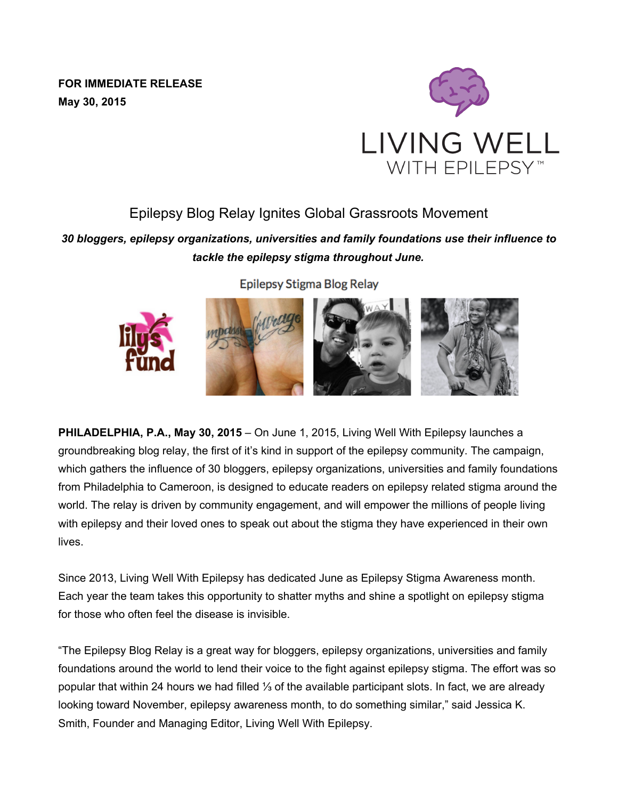**FOR IMMEDIATE RELEASE May 30, 2015**



## Epilepsy Blog Relay Ignites Global Grassroots Movement

*30 bloggers, epilepsy organizations, universities and family foundations use their influence to tackle the epilepsy stigma throughout June.*

Epilepsy Stigma Blog Relay



**PHILADELPHIA, P.A., May 30, 2015** – On June 1, 2015, Living Well With Epilepsy launches a groundbreaking blog relay, the first of it's kind in support of the epilepsy community. The campaign, which gathers the influence of 30 bloggers, epilepsy organizations, universities and family foundations from Philadelphia to Cameroon, is designed to educate readers on epilepsy related stigma around the world. The relay is driven by community engagement, and will empower the millions of people living with epilepsy and their loved ones to speak out about the stigma they have experienced in their own lives.

Since 2013, Living Well With Epilepsy has dedicated June as Epilepsy Stigma Awareness month. Each year the team takes this opportunity to shatter myths and shine a spotlight on epilepsy stigma for those who often feel the disease is invisible.

"The Epilepsy Blog Relay is a great way for bloggers, epilepsy organizations, universities and family foundations around the world to lend their voice to the fight against epilepsy stigma. The effort was so popular that within 24 hours we had filled ⅓ of the available participant slots. In fact, we are already looking toward November, epilepsy awareness month, to do something similar," said Jessica K. Smith, Founder and Managing Editor, Living Well With Epilepsy.